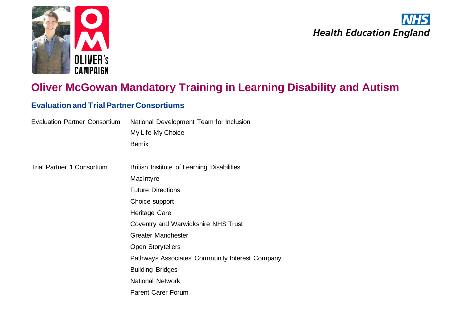



# **Oliver McGowan Mandatory Training in Learning Disability and Autism**

## **Evaluation and Trial Partner Consortiums**

| <b>Evaluation Partner Consortium</b> | National Development Team for Inclusion        |
|--------------------------------------|------------------------------------------------|
|                                      | My Life My Choice                              |
|                                      | <b>Bemix</b>                                   |
|                                      |                                                |
| <b>Trial Partner 1 Consortium</b>    | British Institute of Learning Disabilities     |
|                                      | MacIntyre                                      |
|                                      | <b>Future Directions</b>                       |
|                                      | Choice support                                 |
|                                      | Heritage Care                                  |
|                                      | Coventry and Warwickshire NHS Trust            |
|                                      | <b>Greater Manchester</b>                      |
|                                      | <b>Open Storytellers</b>                       |
|                                      | Pathways Associates Community Interest Company |
|                                      | <b>Building Bridges</b>                        |
|                                      | <b>National Network</b>                        |
|                                      | <b>Parent Carer Forum</b>                      |
|                                      |                                                |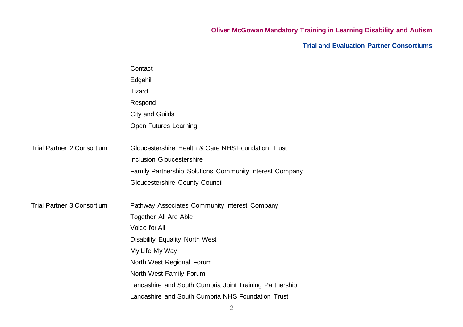## **Oliver McGowan Mandatory Training in Learning Disability and Autism**

**Trial and Evaluation Partner Consortiums**

| Contact                                                 |
|---------------------------------------------------------|
| Edgehill                                                |
| <b>Tizard</b>                                           |
| Respond                                                 |
| City and Guilds                                         |
| Open Futures Learning                                   |
| Gloucestershire Health & Care NHS Foundation Trust      |
| <b>Inclusion Gloucestershire</b>                        |
| Family Partnership Solutions Community Interest Company |
| Gloucestershire County Council                          |
| Pathway Associates Community Interest Company           |
| <b>Together All Are Able</b>                            |
| Voice for All                                           |
| <b>Disability Equality North West</b>                   |
| My Life My Way                                          |
| North West Regional Forum                               |
| North West Family Forum                                 |
| Lancashire and South Cumbria Joint Training Partnership |
| Lancashire and South Cumbria NHS Foundation Trust       |
|                                                         |